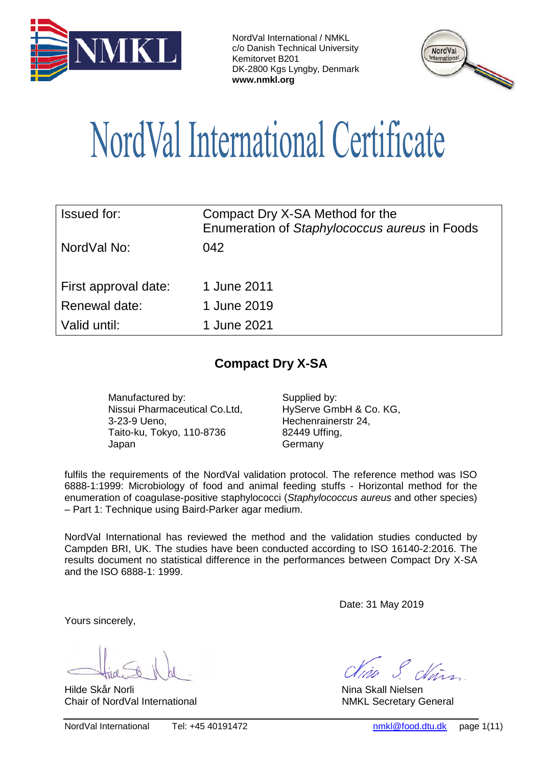



# NordVal International Certificate

| <b>Issued for:</b>   | Compact Dry X-SA Method for the<br>Enumeration of Staphylococcus aureus in Foods |
|----------------------|----------------------------------------------------------------------------------|
| NordVal No:          | 042                                                                              |
| First approval date: | 1 June 2011                                                                      |
| Renewal date:        | 1 June 2019                                                                      |
| Valid until:         | 1 June 2021                                                                      |

## **Compact Dry X-SA**

Manufactured by: Supplied by: Nissui Pharmaceutical Co.Ltd, 3-23-9 Ueno, Taito-ku, Tokyo, 110-8736 Japan

HyServe GmbH & Co. KG, Hechenrainerstr 24, 82449 Uffing, Germany

fulfils the requirements of the NordVal validation protocol. The reference method was ISO 6888-1:1999: Microbiology of food and animal feeding stuffs - Horizontal method for the enumeration of coagulase-positive staphylococci (*Staphylococcus aureus* and other species) – Part 1: Technique using Baird-Parker agar medium.

NordVal International has reviewed the method and the validation studies conducted by Campden BRI, UK. The studies have been conducted according to ISO 16140-2:2016. The results document no statistical difference in the performances between Compact Dry X-SA and the ISO 6888-1: 1999.

Date: 31 May 2019

Yours sincerely,

Hilde Skår Norli Nina Skall Nielsen

Chair of NordVal International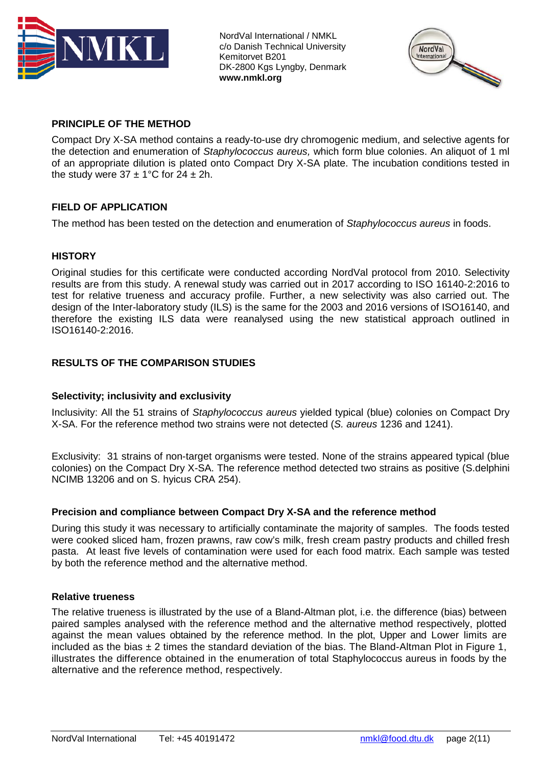



## **PRINCIPLE OF THE METHOD**

Compact Dry X-SA method contains a ready-to-use dry chromogenic medium, and selective agents for the detection and enumeration of *Staphylococcus aureus,* which form blue colonies. An aliquot of 1 ml of an appropriate dilution is plated onto Compact Dry X-SA plate. The incubation conditions tested in the study were  $37 \pm 1^{\circ}$ C for  $24 \pm 2$ h.

## **FIELD OF APPLICATION**

The method has been tested on the detection and enumeration of *Staphylococcus aureus* in foods.

### **HISTORY**

Original studies for this certificate were conducted according NordVal protocol from 2010. Selectivity results are from this study. A renewal study was carried out in 2017 according to ISO 16140-2:2016 to test for relative trueness and accuracy profile. Further, a new selectivity was also carried out. The design of the Inter-laboratory study (ILS) is the same for the 2003 and 2016 versions of ISO16140, and therefore the existing ILS data were reanalysed using the new statistical approach outlined in ISO16140-2:2016.

### **RESULTS OF THE COMPARISON STUDIES**

### **Selectivity; inclusivity and exclusivity**

Inclusivity: All the 51 strains of *Staphylococcus aureus* yielded typical (blue) colonies on Compact Dry X-SA. For the reference method two strains were not detected (*S. aureus* 1236 and 1241).

Exclusivity: 31 strains of non-target organisms were tested. None of the strains appeared typical (blue colonies) on the Compact Dry X-SA. The reference method detected two strains as positive (S.delphini NCIMB 13206 and on S. hyicus CRA 254).

#### **Precision and compliance between Compact Dry X-SA and the reference method**

During this study it was necessary to artificially contaminate the majority of samples. The foods tested were cooked sliced ham, frozen prawns, raw cow's milk, fresh cream pastry products and chilled fresh pasta. At least five levels of contamination were used for each food matrix. Each sample was tested by both the reference method and the alternative method.

#### **Relative trueness**

The relative trueness is illustrated by the use of a Bland-Altman plot, i.e. the difference (bias) between paired samples analysed with the reference method and the alternative method respectively, plotted against the mean values obtained by the reference method. In the plot, Upper and Lower limits are included as the bias  $\pm 2$  times the standard deviation of the bias. The Bland-Altman Plot in Figure 1, illustrates the difference obtained in the enumeration of total Staphylococcus aureus in foods by the alternative and the reference method, respectively.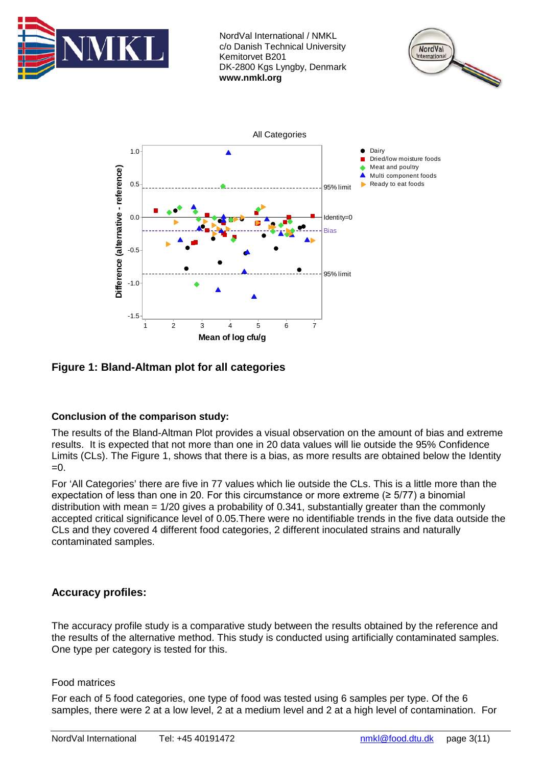





**Figure 1: Bland-Altman plot for all categories** 

## **Conclusion of the comparison study:**

The results of the Bland-Altman Plot provides a visual observation on the amount of bias and extreme results. It is expected that not more than one in 20 data values will lie outside the 95% Confidence Limits (CLs). The Figure 1, shows that there is a bias, as more results are obtained below the Identity  $=0$ .

For 'All Categories' there are five in 77 values which lie outside the CLs. This is a little more than the expectation of less than one in 20. For this circumstance or more extreme (≥ 5/77) a binomial distribution with mean = 1/20 gives a probability of 0.341, substantially greater than the commonly accepted critical significance level of 0.05.There were no identifiable trends in the five data outside the CLs and they covered 4 different food categories, 2 different inoculated strains and naturally contaminated samples.

## **Accuracy profiles:**

The accuracy profile study is a comparative study between the results obtained by the reference and the results of the alternative method. This study is conducted using artificially contaminated samples. One type per category is tested for this.

## Food matrices

For each of 5 food categories, one type of food was tested using 6 samples per type. Of the 6 samples, there were 2 at a low level, 2 at a medium level and 2 at a high level of contamination. For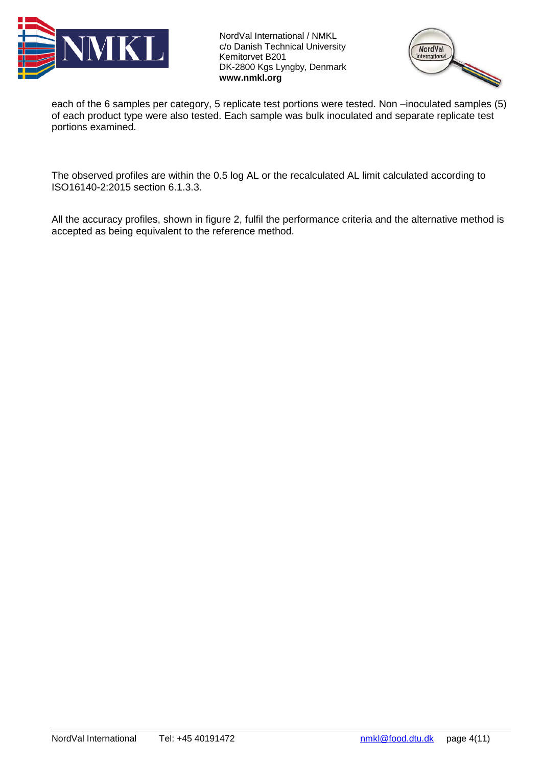



each of the 6 samples per category, 5 replicate test portions were tested. Non –inoculated samples (5) of each product type were also tested. Each sample was bulk inoculated and separate replicate test portions examined.

The observed profiles are within the 0.5 log AL or the recalculated AL limit calculated according to ISO16140-2:2015 section 6.1.3.3.

All the accuracy profiles, shown in figure 2, fulfil the performance criteria and the alternative method is accepted as being equivalent to the reference method.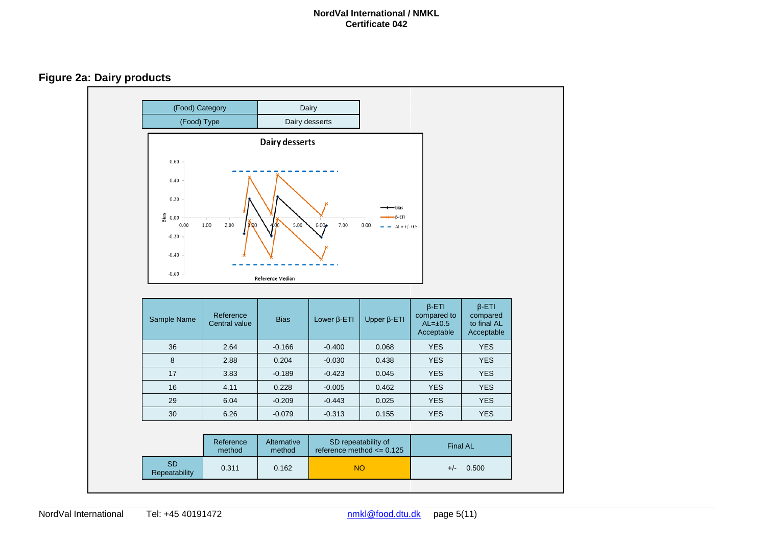**Figure 2a: Dairy products**

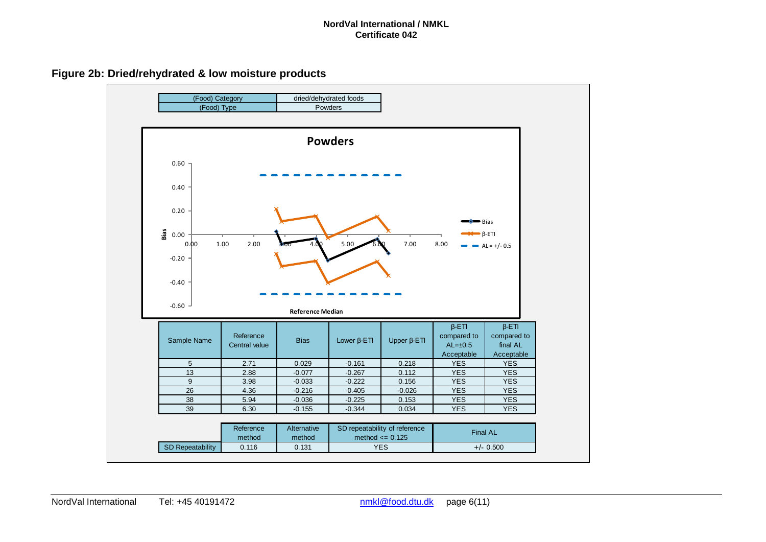**Figure 2b: Dried/rehydrated & low moisture products**

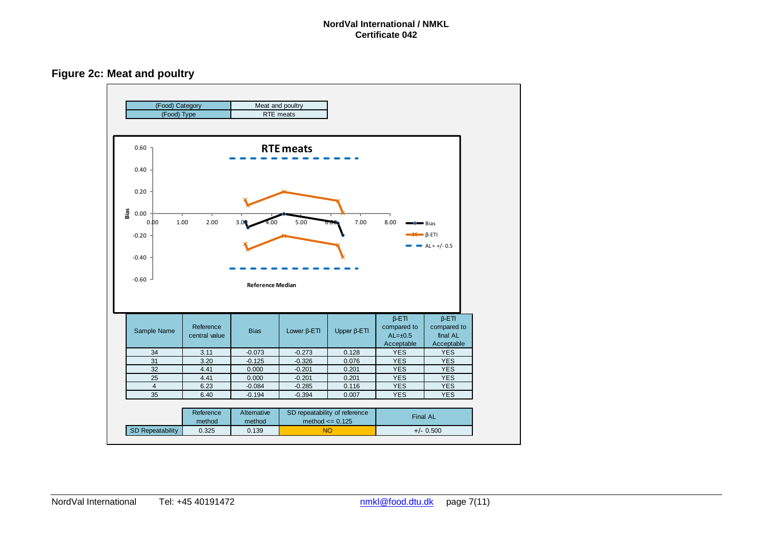**Figure 2c: Meat and poultry**

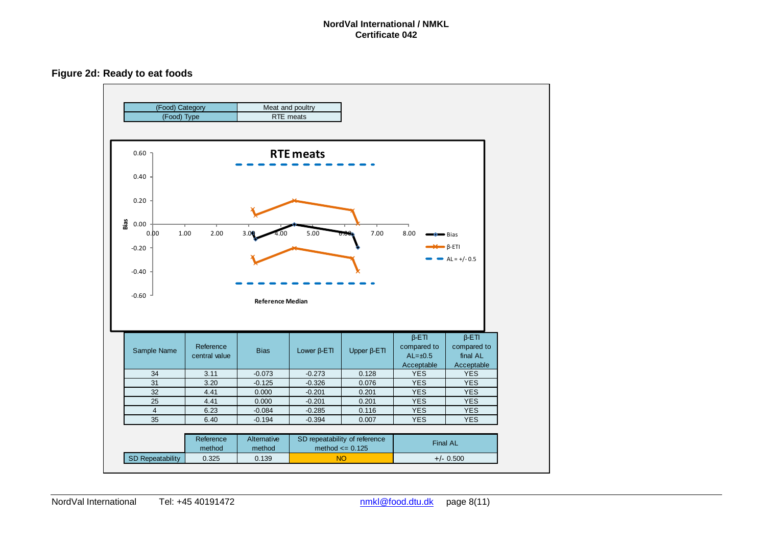**Figure 2d: Ready to eat foods**

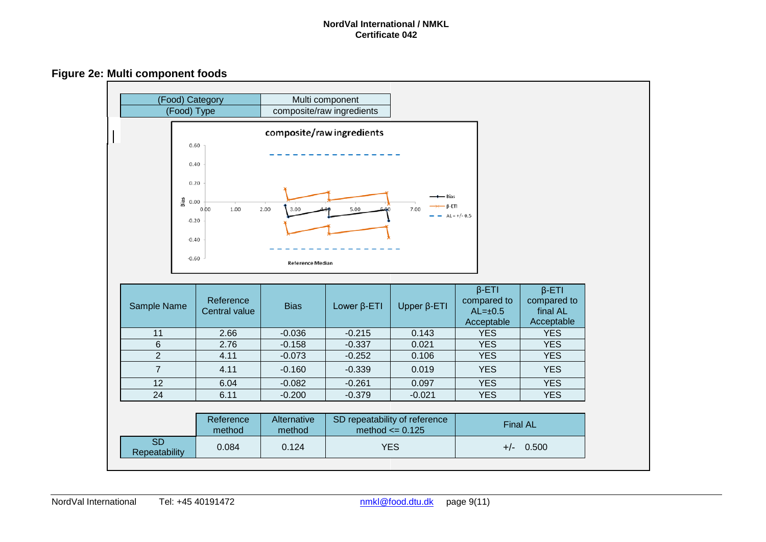**Figure 2e: Multi component foods**

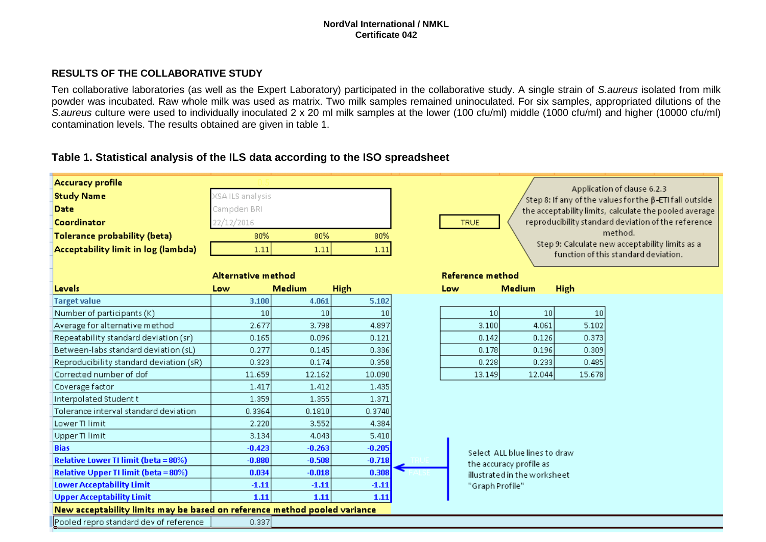### **RESULTS OF THE COLLABORATIVE STUDY**

Ten collaborative laboratories (as well as the Expert Laboratory) participated in the collaborative study. A single strain of *S.aureus* isolated from milk powder was incubated. Raw whole milk was used as matrix. Two milk samples remained uninoculated. For six samples, appropriated dilutions of the *S.aureus* culture were used to individually inoculated 2 x 20 ml milk samples at the lower (100 cfu/ml) middle (1000 cfu/ml) and higher (10000 cfu/ml) contamination levels. The results obtained are given in table 1.

## **Table 1. Statistical analysis of the ILS data according to the ISO spreadsheet**

| <b>Accuracy profile</b>                                                   |                        |          |             |                                                                                               |  |
|---------------------------------------------------------------------------|------------------------|----------|-------------|-----------------------------------------------------------------------------------------------|--|
| <b>Study Name</b>                                                         | <b>XSAILS</b> analysis |          |             | Application of clause 6.2.3<br>Step 8: If any of the values for the $\beta$ -ETI fall outside |  |
| <b>Date</b>                                                               | Campden BRI            |          |             | the acceptability limits, calculate the pooled average                                        |  |
| Coordinator                                                               | 22/12/2016             |          |             | reproducibility standard deviation of the reference<br><b>TRUE</b>                            |  |
| <b>Tolerance probability (beta)</b>                                       | 80%                    | 80%      | 80%         | method.                                                                                       |  |
| Acceptability limit in log (lambda)                                       | 1.11                   | 1.11     | 1.11        | Step 9: Calculate new acceptability limits as a                                               |  |
|                                                                           |                        |          |             | function of this standard deviation.                                                          |  |
|                                                                           | Alternative method     |          |             | Reference method                                                                              |  |
| Levels                                                                    | Low                    | Medium   | <b>High</b> | <b>High</b><br>Medium<br>Low                                                                  |  |
| <b>Target value</b>                                                       | 3.100                  | 4.061    | 5.102       |                                                                                               |  |
| Number of participants (K)                                                | 10 <sup>1</sup>        | 10       | 10          | 10 <sup>1</sup><br>10<br>10                                                                   |  |
| Average for alternative method                                            | 2.677                  | 3.798    | 4.897       | 5.102<br>3.100<br>4.061                                                                       |  |
| Repeatability standard deviation (sr)                                     | 0.165                  | 0.096    | 0.121       | 0.142<br>0.373<br>0.126                                                                       |  |
| Between-labs standard deviation (sL)                                      | 0.277                  | 0.145    | 0.336       | 0.178<br>0.196<br>0.309                                                                       |  |
| Reproducibility standard deviation (sR)                                   | 0.323                  | 0.174    | 0.358       | 0.228<br>0.233<br>0.485                                                                       |  |
| Corrected number of dof                                                   | 11.659                 | 12.162   | 10.090      | 13.149<br>12.044<br>15.678                                                                    |  |
| Coverage factor                                                           | 1.417                  | 1.412    | 1.435       |                                                                                               |  |
| Interpolated Student t                                                    | 1.359                  | 1.355    | 1.371       |                                                                                               |  |
| Tolerance interval standard deviation                                     | 0.3364                 | 0.1810   | 0.3740      |                                                                                               |  |
| Lower TI limit                                                            | 2.220                  | 3.552    | 4.384       |                                                                                               |  |
| Upper TI limit                                                            | 3.134                  | 4.043    | 5.410       |                                                                                               |  |
| <b>Bias</b>                                                               | $-0.423$               | $-0.263$ | $-0.205$    | Select ALL blue lines to draw                                                                 |  |
| <b>Relative Lower TI limit (beta = 80%)</b>                               | $-0.880$               | $-0.508$ | $-0.718$    | the accuracy profile as                                                                       |  |
| <b>Relative Upper TI limit (beta = 80%)</b>                               | 0.034                  | $-0.018$ | 0.308       | illustrated in the worksheet                                                                  |  |
| <b>Lower Acceptability Limit</b>                                          | $-1.11$                | $-1.11$  | $-1.11$     | "Graph Profile"                                                                               |  |
| <b>Upper Acceptability Limit</b>                                          | 1.11                   | 1.11     | 1.11        |                                                                                               |  |
| New acceptability limits may be based on reference method pooled variance |                        |          |             |                                                                                               |  |
| Pooled repro standard dev of reference                                    | 0.337                  |          |             |                                                                                               |  |